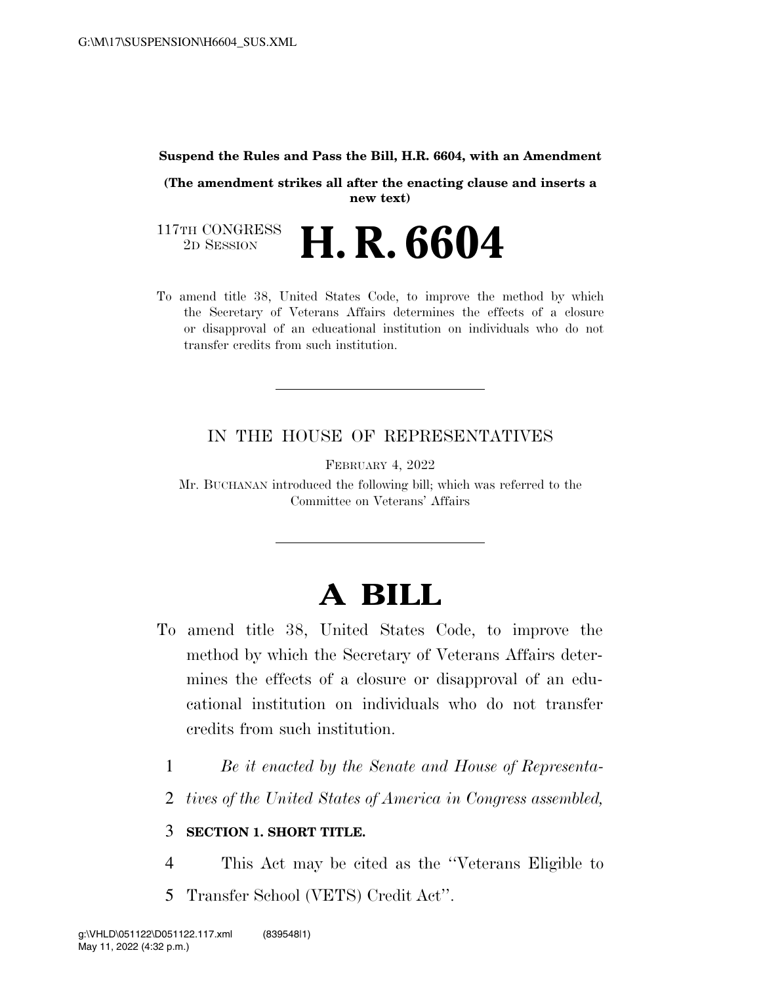## **Suspend the Rules and Pass the Bill, H.R. 6604, with an Amendment**

**(The amendment strikes all after the enacting clause and inserts a new text)** 

117TH CONGRESS<br>2D SESSION 2D SESSION **H. R. 6604** 

To amend title 38, United States Code, to improve the method by which the Secretary of Veterans Affairs determines the effects of a closure or disapproval of an educational institution on individuals who do not transfer credits from such institution.

## IN THE HOUSE OF REPRESENTATIVES

FEBRUARY 4, 2022

Mr. BUCHANAN introduced the following bill; which was referred to the Committee on Veterans' Affairs

## **A BILL**

- To amend title 38, United States Code, to improve the method by which the Secretary of Veterans Affairs determines the effects of a closure or disapproval of an educational institution on individuals who do not transfer credits from such institution.
	- 1 *Be it enacted by the Senate and House of Representa-*
	- 2 *tives of the United States of America in Congress assembled,*

## 3 **SECTION 1. SHORT TITLE.**

4 This Act may be cited as the ''Veterans Eligible to 5 Transfer School (VETS) Credit Act''.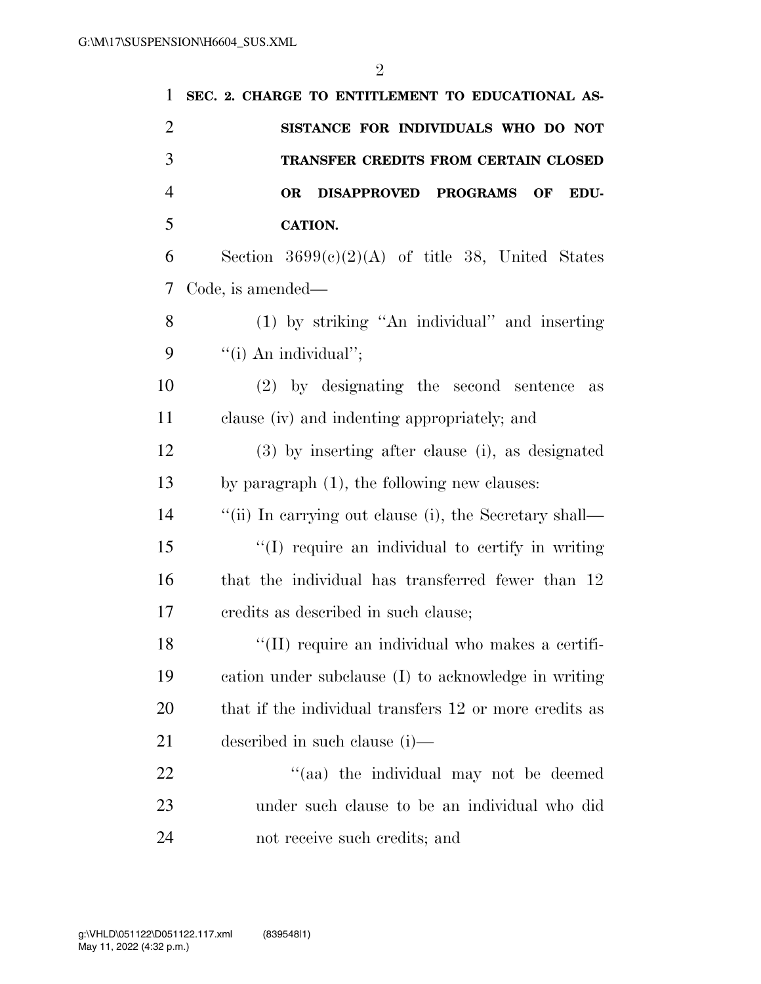| 1              | SEC. 2. CHARGE TO ENTITLEMENT TO EDUCATIONAL AS-       |
|----------------|--------------------------------------------------------|
| $\overline{2}$ | SISTANCE FOR INDIVIDUALS WHO DO NOT                    |
| 3              | <b>TRANSFER CREDITS FROM CERTAIN CLOSED</b>            |
| $\overline{4}$ | DISAPPROVED PROGRAMS<br><b>OR</b><br>OF<br>EDU-        |
| 5              | <b>CATION.</b>                                         |
| 6              | Section $3699(c)(2)(A)$ of title 38, United States     |
| 7              | Code, is amended—                                      |
| 8              | (1) by striking "An individual" and inserting          |
| 9              | "(i) An individual";                                   |
| 10             | $(2)$ by designating the second sentence<br>as         |
| 11             | clause (iv) and indenting appropriately; and           |
| 12             | (3) by inserting after clause (i), as designated       |
| 13             | by paragraph (1), the following new clauses:           |
| 14             | "(ii) In carrying out clause (i), the Secretary shall— |
| 15             | "(I) require an individual to certify in writing       |
| 16             | that the individual has transferred fewer than 12      |
| 17             | credits as described in such clause;                   |
| 18             | "(II) require an individual who makes a certifi-       |
| 19             | cation under subclause (I) to acknowledge in writing   |
| 20             | that if the individual transfers 12 or more credits as |
| 21             | described in such clause (i)—                          |
| 22             | "(aa) the individual may not be deemed                 |
| 23             | under such clause to be an individual who did          |
| 24             | not receive such credits; and                          |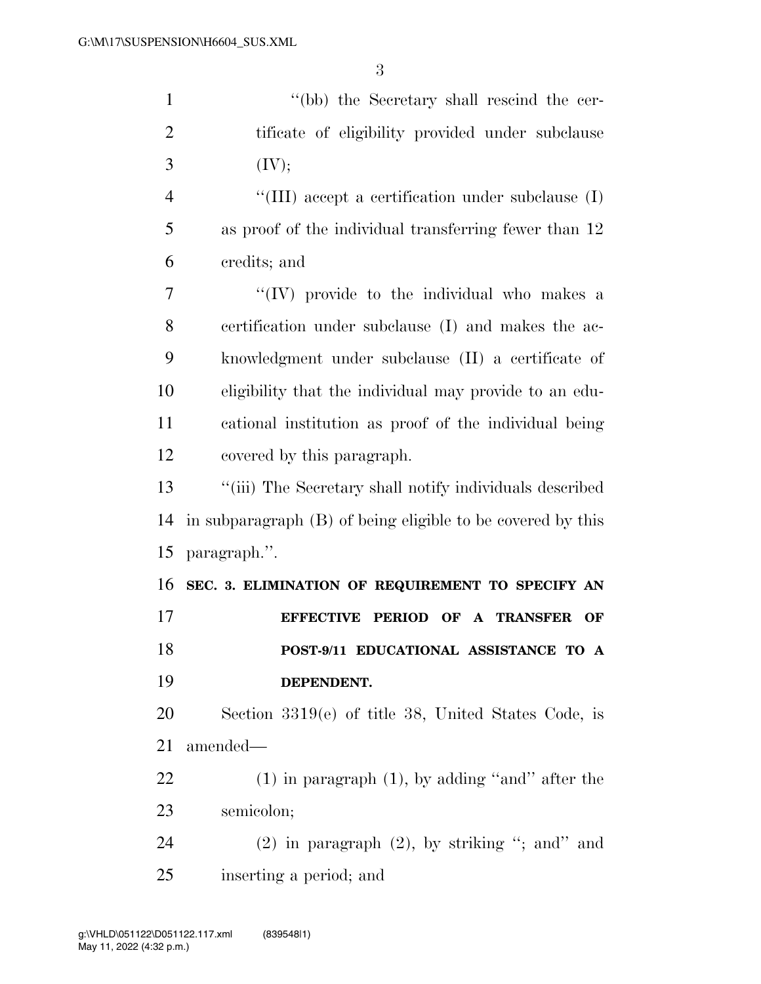| $\mathbf{1}$   | "(bb) the Secretary shall rescind the cer-                  |
|----------------|-------------------------------------------------------------|
| $\overline{2}$ | tificate of eligibility provided under subclause            |
| 3              | (IV);                                                       |
| $\overline{4}$ | "(III) accept a certification under subclause $(I)$         |
| 5              | as proof of the individual transferring fewer than 12       |
| 6              | credits; and                                                |
| 7              | "(IV) provide to the individual who makes a                 |
| 8              | certification under subclause (I) and makes the ac-         |
| 9              | knowledgment under subclause (II) a certificate of          |
| 10             | eligibility that the individual may provide to an edu-      |
| 11             | cational institution as proof of the individual being       |
| 12             | covered by this paragraph.                                  |
| 13             | "(iii) The Secretary shall notify individuals described     |
| 14             | in subparagraph (B) of being eligible to be covered by this |
| 15             | paragraph.".                                                |
| 16             | SEC. 3. ELIMINATION OF REQUIREMENT TO SPECIFY AN            |
| 17             | EFFECTIVE PERIOD OF A TRANSFER<br>OF                        |
| 18             | POST-9/11 EDUCATIONAL ASSISTANCE TO A                       |
| 19             | DEPENDENT.                                                  |
| 20             | Section $3319(e)$ of title 38, United States Code, is       |
| 21             | amended—                                                    |
| 22             | $(1)$ in paragraph $(1)$ , by adding "and" after the        |
| 23             | semicolon;                                                  |
| 24             | $(2)$ in paragraph $(2)$ , by striking "; and" and          |
| 25             | inserting a period; and                                     |